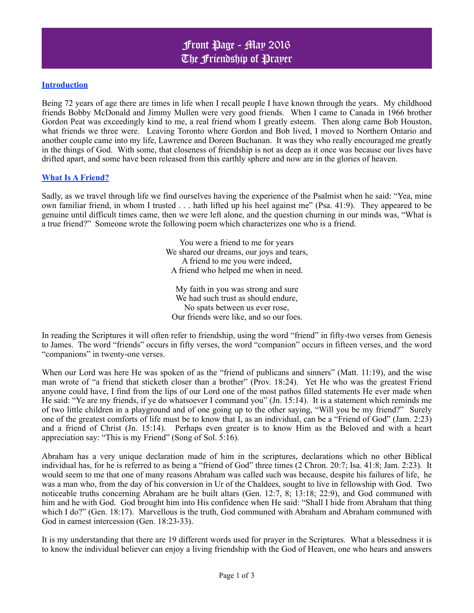## **Introduction**

Being 72 years of age there are times in life when I recall people I have known through the years. My childhood friends Bobby McDonald and Jimmy Mullen were very good friends. When I came to Canada in 1966 brother Gordon Peat was exceedingly kind to me, a real friend whom I greatly esteem. Then along came Bob Houston, what friends we three were. Leaving Toronto where Gordon and Bob lived, I moved to Northern Ontario and another couple came into my life, Lawrence and Doreen Buchanan. It was they who really encouraged me greatly in the things of God. With some, that closeness of friendship is not as deep as it once was because our lives have drifted apart, and some have been released from this earthly sphere and now are in the glories of heaven.

### **What Is A Friend?**

Sadly, as we travel through life we find ourselves having the experience of the Psalmist when he said: "Yea, mine own familiar friend, in whom I trusted . . . hath lifted up his heel against me" (Psa. 41:9). They appeared to be genuine until difficult times came, then we were left alone, and the question churning in our minds was, "What is a true friend?" Someone wrote the following poem which characterizes one who is a friend.

> You were a friend to me for years We shared our dreams, our joys and tears, A friend to me you were indeed, A friend who helped me when in need.

My faith in you was strong and sure We had such trust as should endure, No spats between us ever rose, Our friends were like, and so our foes.

In reading the Scriptures it will often refer to friendship, using the word "friend" in fifty-two verses from Genesis to James. The word "friends" occurs in fifty verses, the word "companion" occurs in fifteen verses, and the word "companions" in twenty-one verses.

When our Lord was here He was spoken of as the "friend of publicans and sinners" (Matt. 11:19), and the wise man wrote of "a friend that sticketh closer than a brother" (Prov. 18:24). Yet He who was the greatest Friend anyone could have, I find from the lips of our Lord one of the most pathos filled statements He ever made when He said: "Ye are my friends, if ye do whatsoever I command you" (Jn. 15:14). It is a statement which reminds me of two little children in a playground and of one going up to the other saying, "Will you be my friend?" Surely one of the greatest comforts of life must be to know that I, as an individual, can be a "Friend of God" (Jam. 2:23) and a friend of Christ (Jn. 15:14). Perhaps even greater is to know Him as the Beloved and with a heart appreciation say: "This is my Friend" (Song of Sol. 5:16).

Abraham has a very unique declaration made of him in the scriptures, declarations which no other Biblical individual has, for he is referred to as being a "friend of God" three times (2 Chron. 20:7; Isa. 41:8; Jam. 2:23). It would seem to me that one of many reasons Abraham was called such was because, despite his failures of life, he was a man who, from the day of his conversion in Ur of the Chaldees, sought to live in fellowship with God. Two noticeable truths concerning Abraham are he built altars (Gen. 12:7, 8; 13:18; 22:9), and God communed with him and he with God. God brought him into His confidence when He said: "Shall I hide from Abraham that thing which I do?" (Gen. 18:17). Marvellous is the truth, God communed with Abraham and Abraham communed with God in earnest intercession (Gen. 18:23-33).

It is my understanding that there are 19 different words used for prayer in the Scriptures. What a blessedness it is to know the individual believer can enjoy a living friendship with the God of Heaven, one who hears and answers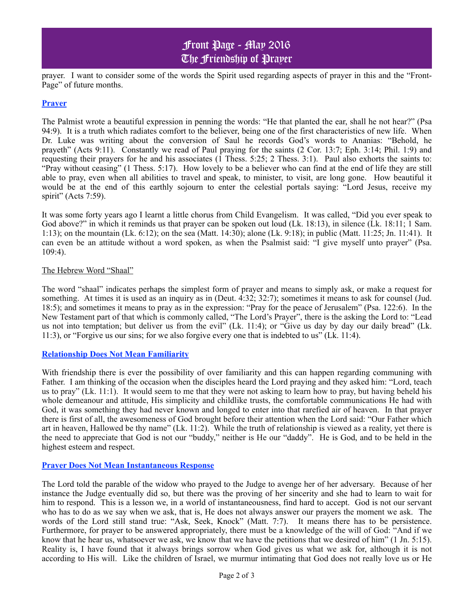# Front Page - May 2016 The Friendship of Prayer

prayer. I want to consider some of the words the Spirit used regarding aspects of prayer in this and the "Front-Page" of future months.

### **Prayer**

The Palmist wrote a beautiful expression in penning the words: "He that planted the ear, shall he not hear?" (Psa 94:9). It is a truth which radiates comfort to the believer, being one of the first characteristics of new life. When Dr. Luke was writing about the conversion of Saul he records God's words to Ananias: "Behold, he prayeth" (Acts 9:11). Constantly we read of Paul praying for the saints (2 Cor. 13:7; Eph. 3:14; Phil. 1:9) and requesting their prayers for he and his associates (1 Thess. 5:25; 2 Thess. 3:1). Paul also exhorts the saints to: "Pray without ceasing" (1 Thess. 5:17). How lovely to be a believer who can find at the end of life they are still able to pray, even when all abilities to travel and speak, to minister, to visit, are long gone. How beautiful it would be at the end of this earthly sojourn to enter the celestial portals saying: "Lord Jesus, receive my spirit" (Acts 7:59).

It was some forty years ago I learnt a little chorus from Child Evangelism. It was called, "Did you ever speak to God above?" in which it reminds us that prayer can be spoken out loud (Lk. 18:13), in silence (Lk. 18:11; 1 Sam. 1:13); on the mountain (Lk. 6:12); on the sea (Matt. 14:30); alone (Lk. 9:18); in public (Matt. 11:25; Jn. 11:41). It can even be an attitude without a word spoken, as when the Psalmist said: "I give myself unto prayer" (Psa. 109:4).

#### The Hebrew Word "Shaal"

The word "shaal" indicates perhaps the simplest form of prayer and means to simply ask, or make a request for something. At times it is used as an inquiry as in (Deut. 4:32; 32:7); sometimes it means to ask for counsel (Jud. 18:5); and sometimes it means to pray as in the expression: "Pray for the peace of Jerusalem" (Psa. 122:6). In the New Testament part of that which is commonly called, "The Lord's Prayer", there is the asking the Lord to: "Lead us not into temptation; but deliver us from the evil" (Lk. 11:4); or "Give us day by day our daily bread" (Lk. 11:3), or "Forgive us our sins; for we also forgive every one that is indebted to us" (Lk. 11:4).

#### **Relationship Does Not Mean Familiarity**

With friendship there is ever the possibility of over familiarity and this can happen regarding communing with Father. I am thinking of the occasion when the disciples heard the Lord praying and they asked him: "Lord, teach us to pray" (Lk. 11:1). It would seem to me that they were not asking to learn how to pray, but having beheld his whole demeanour and attitude, His simplicity and childlike trusts, the comfortable communications He had with God, it was something they had never known and longed to enter into that rarefied air of heaven. In that prayer there is first of all, the awesomeness of God brought before their attention when the Lord said: "Our Father which art in heaven, Hallowed be thy name" (Lk. 11:2). While the truth of relationship is viewed as a reality, yet there is the need to appreciate that God is not our "buddy," neither is He our "daddy". He is God, and to be held in the highest esteem and respect.

#### **Prayer Does Not Mean Instantaneous Response**

The Lord told the parable of the widow who prayed to the Judge to avenge her of her adversary. Because of her instance the Judge eventually did so, but there was the proving of her sincerity and she had to learn to wait for him to respond. This is a lesson we, in a world of instantaneousness, find hard to accept. God is not our servant who has to do as we say when we ask, that is, He does not always answer our prayers the moment we ask. The words of the Lord still stand true: "Ask, Seek, Knock" (Matt. 7:7). It means there has to be persistence. Furthermore, for prayer to be answered appropriately, there must be a knowledge of the will of God: "And if we know that he hear us, whatsoever we ask, we know that we have the petitions that we desired of him" (1 Jn. 5:15). Reality is, I have found that it always brings sorrow when God gives us what we ask for, although it is not according to His will. Like the children of Israel, we murmur intimating that God does not really love us or He